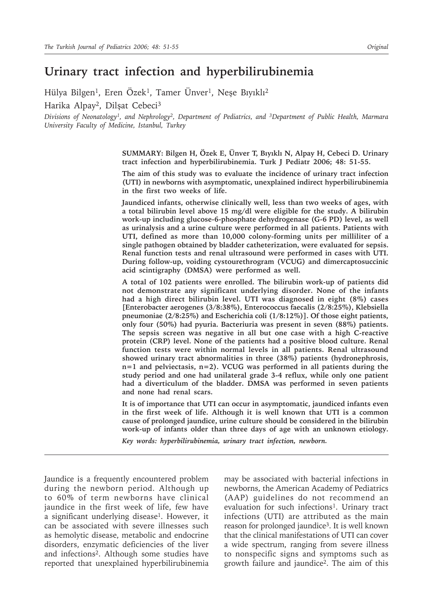# **Urinary tract infection and hyperbilirubinemia**

Hülya Bilgen<sup>1</sup>, Eren Özek<sup>1</sup>, Tamer Ünver<sup>1</sup>, Neşe Bıyıklı<sup>2</sup> Harika Alpay<sup>2</sup>, Dilsat Cebeci<sup>3</sup>

*Divisions of Neonatology1, and Nephrology2, Department of Pediatrics, and 3Department of Public Health, Marmara University Faculty of Medicine, Istanbul, Turkey*

> **SUMMARY: Bilgen H, Özek E, Ünver T, Bıyıklı N, Alpay H, Cebeci D. Urinary tract infection and hyperbilirubinemia. Turk J Pediatr 2006; 48: 51-55.**

> **The aim of this study was to evaluate the incidence of urinary tract infection (UTI) in newborns with asymptomatic, unexplained indirect hyperbilirubinemia in the first two weeks of life.**

> **Jaundiced infants, otherwise clinically well, less than two weeks of ages, with a total bilirubin level above 15 mg/dl were eligible for the study. A bilirubin work-up including glucose-6-phosphate dehydrogenase (G-6 PD) level, as well as urinalysis and a urine culture were performed in all patients. Patients with UTI, defined as more than 10,000 colony-forming units per milliliter of a single pathogen obtained by bladder catheterization, were evaluated for sepsis. Renal function tests and renal ultrasound were performed in cases with UTI. During follow-up, voiding cystourethrogram (VCUG) and dimercaptosuccinic acid scintigraphy (DMSA) were performed as well.**

> **A total of 102 patients were enrolled. The bilirubin work-up of patients did not demonstrate any significant underlying disorder. None of the infants had a high direct bilirubin level. UTI was diagnosed in eight (8%) cases [Enterobacter aerogenes (3/8:38%), Enterococcus faecalis (2/8:25%), Klebsiella pneumoniae (2/8:25%) and Escherichia coli (1/8:12%)]. Of those eight patients, only four (50%) had pyuria. Bacteriuria was present in seven (88%) patients. The sepsis screen was negative in all but one case with a high C-reactive protein (CRP) level. None of the patients had a positive blood culture. Renal function tests were within normal levels in all patients. Renal ultrasound showed urinary tract abnormalities in three (38%) patients (hydronephrosis, n=1 and pelviectasis, n=2). VCUG was performed in all patients during the study period and one had unilateral grade 3-4 reflux, while only one patient had a diverticulum of the bladder. DMSA was performed in seven patients and none had renal scars.**

> **It is of importance that UTI can occur in asymptomatic, jaundiced infants even in the first week of life. Although it is well known that UTI is a common cause of prolonged jaundice, urine culture should be considered in the bilirubin work-up of infants older than three days of age with an unknown etiology.**

*Key words: hyperbilirubinemia, urinary tract infection, newborn.*

Jaundice is a frequently encountered problem during the newborn period. Although up to 60% of term newborns have clinical jaundice in the first week of life, few have a significant underlying disease<sup>1</sup>. However, it can be associated with severe illnesses such as hemolytic disease, metabolic and endocrine disorders, enzymatic deficiencies of the liver and infections2. Although some studies have reported that unexplained hyperbilirubinemia may be associated with bacterial infections in newborns, the American Academy of Pediatrics (AAP) guidelines do not recommend an evaluation for such infections<sup>1</sup>. Urinary tract infections (UTI) are attributed as the main reason for prolonged jaundice<sup>3</sup>. It is well known that the clinical manifestations of UTI can cover a wide spectrum, ranging from severe illness to nonspecific signs and symptoms such as growth failure and jaundice2. The aim of this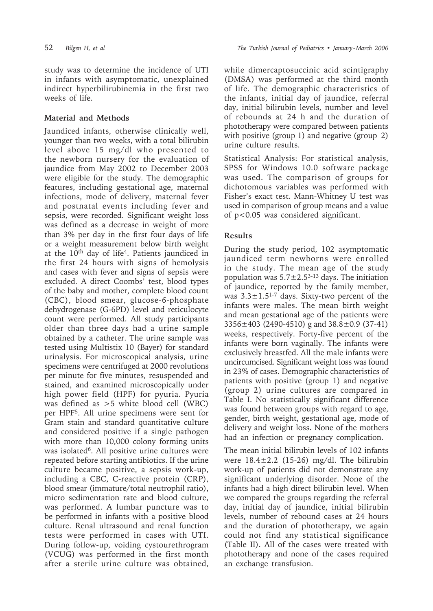study was to determine the incidence of UTI in infants with asymptomatic, unexplained indirect hyperbilirubinemia in the first two weeks of life.

## **Material and Methods**

Jaundiced infants, otherwise clinically well, younger than two weeks, with a total bilirubin level above 15 mg/dl who presented to the newborn nursery for the evaluation of jaundice from May 2002 to December 2003 were eligible for the study. The demographic features, including gestational age, maternal infections, mode of delivery, maternal fever and postnatal events including fever and sepsis, were recorded. Significant weight loss was defined as a decrease in weight of more than 3% per day in the first four days of life or a weight measurement below birth weight at the 10<sup>th</sup> day of life<sup>4</sup>. Patients jaundiced in the first 24 hours with signs of hemolysis and cases with fever and signs of sepsis were excluded. A direct Coombs' test, blood types of the baby and mother, complete blood count (CBC), blood smear, glucose-6-phosphate dehydrogenase (G-6PD) level and reticulocyte count were performed. All study participants older than three days had a urine sample obtained by a catheter. The urine sample was tested using Multistix 10 (Bayer) for standard urinalysis. For microscopical analysis, urine specimens were centrifuged at 2000 revolutions per minute for five minutes, resuspended and stained, and examined microscopically under high power field (HPF) for pyuria. Pyuria was defined as >5 white blood cell (WBC) per HPF5. All urine specimens were sent for Gram stain and standard quantitative culture and considered positive if a single pathogen with more than 10,000 colony forming units was isolated<sup>6</sup>. All positive urine cultures were repeated before starting antibiotics. If the urine culture became positive, a sepsis work-up, including a CBC, C-reactive protein (CRP), blood smear (immature/total neutrophil ratio), micro sedimentation rate and blood culture, was performed. A lumbar puncture was to be performed in infants with a positive blood culture. Renal ultrasound and renal function tests were performed in cases with UTI. During follow-up, voiding cystourethrogram (VCUG) was performed in the first month after a sterile urine culture was obtained,

while dimercaptosuccinic acid scintigraphy (DMSA) was performed at the third month of life. The demographic characteristics of the infants, initial day of jaundice, referral day, initial bilirubin levels, number and level of rebounds at 24 h and the duration of phototherapy were compared between patients with positive (group 1) and negative (group 2) urine culture results.

Statistical Analysis: For statistical analysis, SPSS for Windows 10.0 software package was used. The comparison of groups for dichotomous variables was performed with Fisher's exact test. Mann-Whitney U test was used in comparison of group means and a value of p<0.05 was considered significant.

# **Results**

During the study period, 102 asymptomatic jaundiced term newborns were enrolled in the study. The mean age of the study population was  $5.7 \pm 2.5^{3-13}$  days. The initiation of jaundice, reported by the family member, was  $3.3 \pm 1.5^{1-7}$  days. Sixty-two percent of the infants were males. The mean birth weight and mean gestational age of the patients were 3356±403 (2490-4510) g and 38.8±0.9 (37-41) weeks, respectively. Forty-five percent of the infants were born vaginally. The infants were exclusively breastfed. All the male infants were uncircumcised. Significant weight loss was found in 23% of cases. Demographic characteristics of patients with positive (group 1) and negative (group 2) urine cultures are compared in Table I. No statistically significant difference was found between groups with regard to age, gender, birth weight, gestational age, mode of delivery and weight loss. None of the mothers had an infection or pregnancy complication.

The mean initial bilirubin levels of 102 infants were  $18.4 \pm 2.2$  (15-26) mg/dl. The bilirubin work-up of patients did not demonstrate any significant underlying disorder. None of the infants had a high direct bilirubin level. When we compared the groups regarding the referral day, initial day of jaundice, initial bilirubin levels, number of rebound cases at 24 hours and the duration of phototherapy, we again could not find any statistical significance (Table II). All of the cases were treated with phototherapy and none of the cases required an exchange transfusion.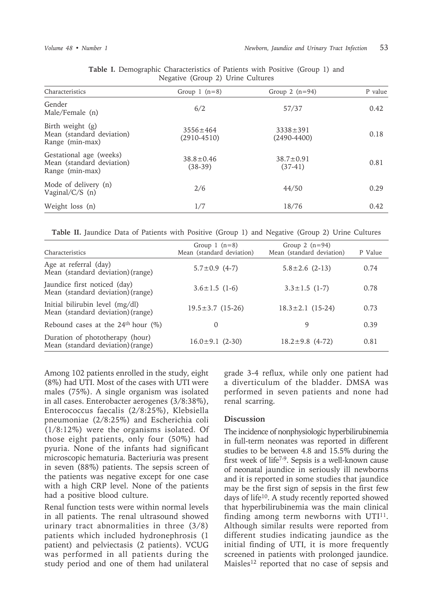| Characteristics                                                         | Group 1 $(n=8)$                   | Group 2 $(n=94)$                  | P value |
|-------------------------------------------------------------------------|-----------------------------------|-----------------------------------|---------|
| Gender<br>Male/Female (n)                                               | 6/2                               | 57/37                             | 0.42    |
| Birth weight (g)<br>Mean (standard deviation)<br>Range (min-max)        | $3556 \pm 464$<br>$(2910 - 4510)$ | $3338 \pm 391$<br>$(2490 - 4400)$ | 0.18    |
| Gestational age (weeks)<br>Mean (standard deviation)<br>Range (min-max) | $38.8 \pm 0.46$<br>$(38-39)$      | $38.7 \pm 0.91$<br>$(37-41)$      | 0.81    |
| Mode of delivery (n)<br>Vaginal/ $C/S$ (n)                              | 2/6                               | 44/50                             | 0.29    |
| Weight loss (n)                                                         | 1/7                               | 18/76                             | 0.42    |

| Table I. Demographic Characteristics of Patients with Positive (Group 1) and |  |  |
|------------------------------------------------------------------------------|--|--|
| Negative (Group 2) Urine Cultures                                            |  |  |

**Table II.** Jaundice Data of Patients with Positive (Group 1) and Negative (Group 2) Urine Cultures

| Characteristics                                                      | Group 1 $(n=8)$<br>Mean (standard deviation) | Group 2 $(n=94)$<br>Mean (standard deviation) | P Value |
|----------------------------------------------------------------------|----------------------------------------------|-----------------------------------------------|---------|
| Age at referral (day)<br>Mean (standard deviation) (range)           | $5.7 \pm 0.9$ (4-7)                          | $5.8 \pm 2.6$ (2-13)                          | 0.74    |
| Jaundice first noticed (day)<br>Mean (standard deviation) (range)    | $3.6 \pm 1.5$ (1-6)                          | $3.3 \pm 1.5$ (1-7)                           | 0.78    |
| Initial bilirubin level (mg/dl)<br>Mean (standard deviation) (range) | $19.5 \pm 3.7$ (15-26)                       | $18.3 \pm 2.1$ (15-24)                        | 0.73    |
| Rebound cases at the $24th$ hour (%)                                 | $\left( \right)$                             | 9                                             | 0.39    |
| Duration of phototherapy (hour)<br>Mean (standard deviation) (range) | $16.0 \pm 9.1$ (2-30)                        | $18.2 \pm 9.8$ (4-72)                         | 0.81    |

Among 102 patients enrolled in the study, eight (8%) had UTI. Most of the cases with UTI were males (75%). A single organism was isolated in all cases. Enterobacter aerogenes (3/8:38%), Enterococcus faecalis (2/8:25%), Klebsiella pneumoniae (2/8:25%) and Escherichia coli (1/8:12%) were the organisms isolated. Of those eight patients, only four (50%) had pyuria. None of the infants had significant microscopic hematuria. Bacteriuria was present in seven (88%) patients. The sepsis screen of the patients was negative except for one case with a high CRP level. None of the patients had a positive blood culture.

Renal function tests were within normal levels in all patients. The renal ultrasound showed urinary tract abnormalities in three (3/8) patients which included hydronephrosis (1 patient) and pelviectasis (2 patients). VCUG was performed in all patients during the study period and one of them had unilateral grade 3-4 reflux, while only one patient had a diverticulum of the bladder. DMSA was performed in seven patients and none had renal scarring.

### **Discussion**

The incidence of nonphysiologic hyperbilirubinemia in full-term neonates was reported in different studies to be between 4.8 and 15.5% during the first week of life7-9. Sepsis is a well-known cause of neonatal jaundice in seriously ill newborns and it is reported in some studies that jaundice may be the first sign of sepsis in the first few days of life10. A study recently reported showed that hyperbilirubinemia was the main clinical finding among term newborns with  $UTI<sup>11</sup>$ . Although similar results were reported from different studies indicating jaundice as the initial finding of UTI, it is more frequently screened in patients with prolonged jaundice. Maisles<sup>12</sup> reported that no case of sepsis and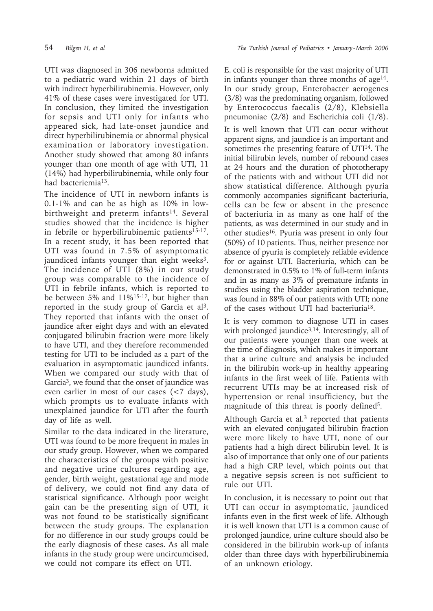UTI was diagnosed in 306 newborns admitted to a pediatric ward within 21 days of birth with indirect hyperbilirubinemia. However, only 41% of these cases were investigated for UTI. In conclusion, they limited the investigation for sepsis and UTI only for infants who appeared sick, had late-onset jaundice and direct hyperbilirubinemia or abnormal physical examination or laboratory investigation. Another study showed that among 80 infants younger than one month of age with UTI, 11 (14%) had hyperbilirubinemia, while only four had bacteriemia13.

The incidence of UTI in newborn infants is 0.1-1% and can be as high as 10% in lowbirthweight and preterm infants<sup>14</sup>. Several studies showed that the incidence is higher in febrile or hyperbilirubinemic patients<sup>15-17</sup>. In a recent study, it has been reported that UTI was found in 7.5% of asymptomatic jaundiced infants younger than eight weeks<sup>3</sup>. The incidence of UTI (8%) in our study group was comparable to the incidence of UTI in febrile infants, which is reported to be between 5% and 11%<sup>15-17</sup>, but higher than reported in the study group of Garcia et al<sup>3</sup>. They reported that infants with the onset of jaundice after eight days and with an elevated conjugated bilirubin fraction were more likely to have UTI, and they therefore recommended testing for UTI to be included as a part of the evaluation in asymptomatic jaundiced infants. When we compared our study with that of Garcia<sup>3</sup>, we found that the onset of jaundice was even earlier in most of our cases (<7 days), which prompts us to evaluate infants with unexplained jaundice for UTI after the fourth day of life as well.

Similar to the data indicated in the literature, UTI was found to be more frequent in males in our study group. However, when we compared the characteristics of the groups with positive and negative urine cultures regarding age, gender, birth weight, gestational age and mode of delivery, we could not find any data of statistical significance. Although poor weight gain can be the presenting sign of UTI, it was not found to be statistically significant between the study groups. The explanation for no difference in our study groups could be the early diagnosis of these cases. As all male infants in the study group were uncircumcised, we could not compare its effect on UTI.

E. coli is responsible for the vast majority of UTI in infants younger than three months of age<sup>14</sup>. In our study group, Enterobacter aerogenes (3/8) was the predominating organism, followed by Enterococcus faecalis (2/8), Klebsiella pneumoniae (2/8) and Escherichia coli (1/8). It is well known that UTI can occur without apparent signs, and jaundice is an important and sometimes the presenting feature of UTI<sup>14</sup>. The initial bilirubin levels, number of rebound cases at 24 hours and the duration of phototherapy of the patients with and without UTI did not show statistical difference. Although pyuria commonly accompanies significant bacteriuria, cells can be few or absent in the presence of bacteriuria in as many as one half of the patients, as was determined in our study and in other studies16. Pyuria was present in only four (50%) of 10 patients. Thus, neither presence nor absence of pyuria is completely reliable evidence for or against UTI. Bacteriuria, which can be demonstrated in 0.5% to 1% of full-term infants and in as many as 3% of premature infants in studies using the bladder aspiration technique, was found in 88% of our patients with UTI; none of the cases without UTI had bacteriuria18.

It is very common to diagnose UTI in cases with prolonged jaundice<sup>3,14</sup>. Interestingly, all of our patients were younger than one week at the time of diagnosis, which makes it important that a urine culture and analysis be included in the bilirubin work-up in healthy appearing infants in the first week of life. Patients with recurrent UTIs may be at increased risk of hypertension or renal insufficiency, but the magnitude of this threat is poorly defined<sup>5</sup>.

Although Garcia et al. $3$  reported that patients with an elevated conjugated bilirubin fraction were more likely to have UTI, none of our patients had a high direct bilirubin level. It is also of importance that only one of our patients had a high CRP level, which points out that a negative sepsis screen is not sufficient to rule out UTI.

In conclusion, it is necessary to point out that UTI can occur in asymptomatic, jaundiced infants even in the first week of life. Although it is well known that UTI is a common cause of prolonged jaundice, urine culture should also be considered in the bilirubin work-up of infants older than three days with hyperbilirubinemia of an unknown etiology.